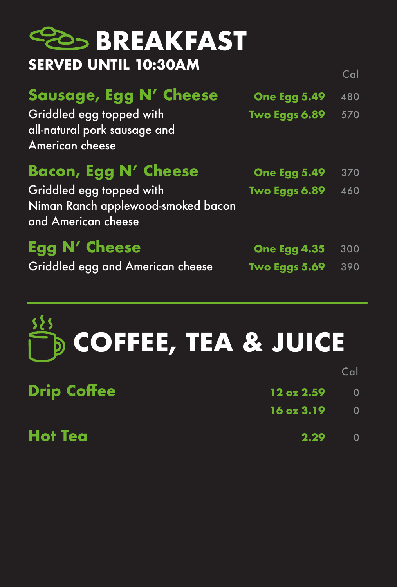

16 oz 3.19 0

### **Hot Tea** 2.29 0

# **COFFEE, TEA & JUICE**





## **Sausage, Egg N' Cheese** One Egg 5.49 480

Griddled egg topped with Two Eggs 6.89 570 all-natural pork sausage and American cheese

## Bacon, Egg N' Cheese One Egg 5.49 370 Griddled egg topped with Two Eggs 6.89 460

Niman Ranch applewood-smoked bacon and American cheese

## Egg N' Cheese One Egg 4.35 300 Griddled egg and American cheese Two Eggs 5.69 390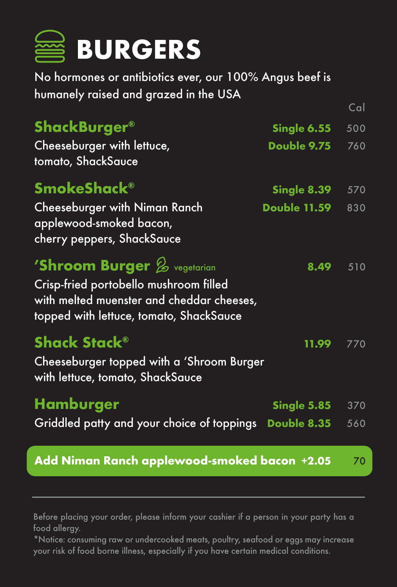ShackBurger® Single 6.55 500 Cheeseburger with lettuce, Double 9.75 760 tomato, ShackSauce

SmokeShack® Single 8.39 570

Cheeseburger with Niman Ranch Double 11.59 830 applewood-smoked bacon, cherry peppers, ShackSauce

## $'$ Shroom Burger  $\%$  vegetarian 8.49 510

Crisp-fried portobello mushroom filled with melted muenster and cheddar cheeses, topped with lettuce, tomato, ShackSauce

## Shack Stack® 11.99 770

Cheeseburger topped with a 'Shroom Burger with lettuce, tomato, ShackSauce

## Hamburger Single 5.85 370

Griddled patty and your choice of toppings Double 8.35 560

### Add Niman Ranch applewood-smoked bacon +2.05 70

No hormones or antibiotics ever, our 100% Angus beef is humanely raised and grazed in the USA



Before placing your order, please inform your cashier if a person in your party has a food allergy.

\*Notice: consuming raw or undercooked meats, poultry, seafood or eggs may increase your risk of food borne illness, especially if you have certain medical conditions.

Cal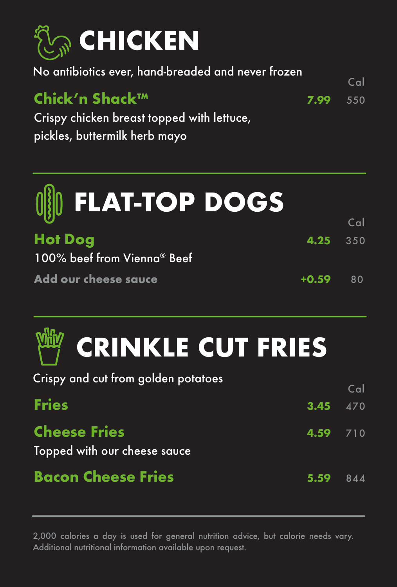

## **Hot Dog** 4.25 350 100% beef from Vienna® Beef

Add our cheese sauce  $+0.59$  80



## Chick'n Shack™ 7.99 <sup>550</sup>

Crispy chicken breast topped with lettuce, pickles, buttermilk herb mayo

Topped with our cheese sauce

## Bacon Cheese Fries 5.59 844



#### No antibiotics ever, hand-breaded and never frozen

Crispy and cut from golden potatoes







**Fries** 470

2,000 calories a day is used for general nutrition advice, but calorie needs vary. Additional nutritional information available upon request.

Cal

Cal

## Cheese Fries 4.59 710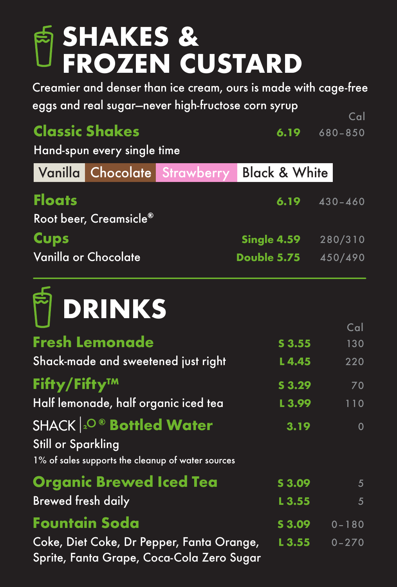Hand-spun every single time

## Root beer, Creamsicle®

Cups Single 4.59 280/310 Vanilla or Chocolate **Double 5.75** 450/490

Half lemonade, half organic iced tea L 3.99 110 SHACK 2<sup>O®</sup> Bottled Water 3.19 0 Still or Sparkling 1% of sales supports the cleanup of water sources Organic Brewed Iced Tea 53.09 5 Brewed fresh daily and the set of the set of the set of the set of the set of the set of the set of the set of the set of the set of the set of the set of the set of the set of the set of the set of the set of the set of t **Fountain Soda** S 3.09 0-180 Coke, Diet Coke, Dr Pepper, Fanta Orange, L3.55 0-270 Sprite, Fanta Grape, Coca-Cola Zero Sugar



## **SHAKES & FROZEN CUSTARD**

Creamier and denser than ice cream, ours is made with cage-free eggs and real sugar—never high-fructose corn syrup Cal

## Classic Shakes 6.19 680-850

Vanilla Chocolate Strawberry Black & White



Floats 6.19 430–460

### Cal

Fresh Lemonade 53.55 130

Shack-made and sweetened just right L 4.45 220

## $\mathsf{Fifty}/\mathsf{Fifty^{TM}}$  53.29 70